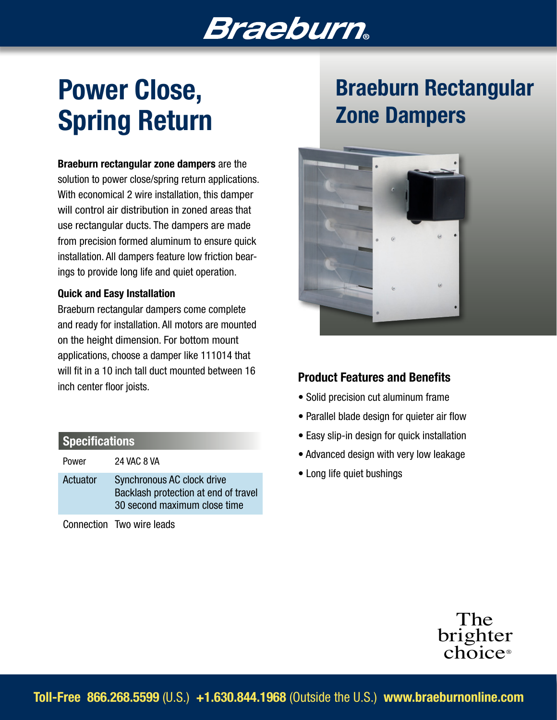# Braeburn

# Power Close, Spring Return

Braeburn rectangular zone dampers are the solution to power close/spring return applications. With economical 2 wire installation, this damper will control air distribution in zoned areas that use rectangular ducts. The dampers are made from precision formed aluminum to ensure quick installation. All dampers feature low friction bearings to provide long life and quiet operation.

#### Quick and Easy Installation

Braeburn rectangular dampers come complete and ready for installation. All motors are mounted on the height dimension. For bottom mount applications, choose a damper like 111014 that will fit in a 10 inch tall duct mounted between 16 inch center floor joists.

### **Specifications**

Power 24 VAC 8 VA

Actuator Synchronous AC clock drive Backlash protection at end of travel 30 second maximum close time

Connection Two wire leads

## Braeburn Rectangular Zone Dampers



### Product Features and Benefits

- Solid precision cut aluminum frame
- Parallel blade design for quieter air flow
- Easy slip-in design for quick installation
- Advanced design with very low leakage
- Long life quiet bushings